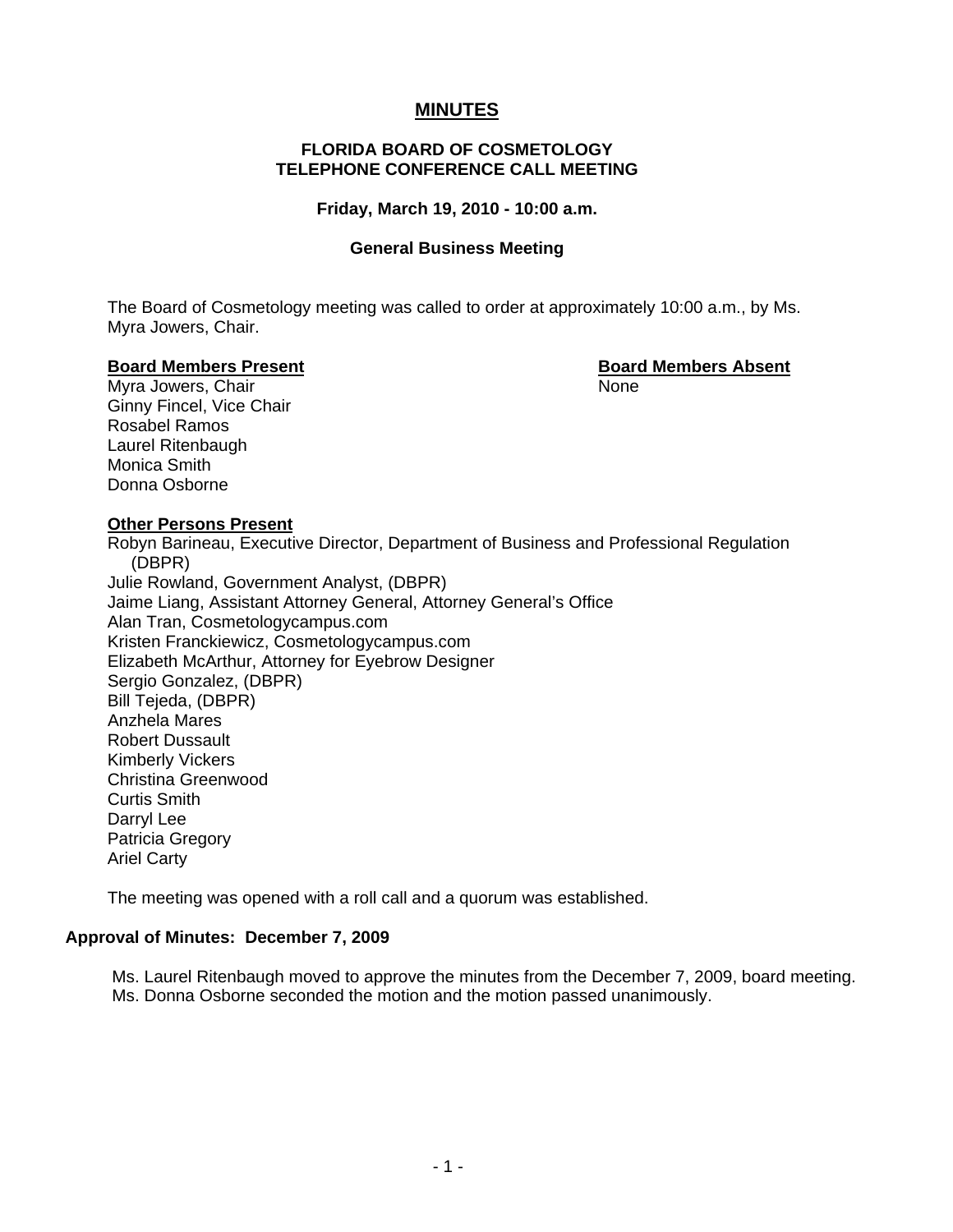# **MINUTES**

#### **FLORIDA BOARD OF COSMETOLOGY TELEPHONE CONFERENCE CALL MEETING**

#### **Friday, March 19, 2010 - 10:00 a.m.**

#### **General Business Meeting**

 The Board of Cosmetology meeting was called to order at approximately 10:00 a.m., by Ms. Myra Jowers, Chair.

#### **Board Members Present Board Members Absent**

Myra Jowers, Chair None Ginny Fincel, Vice Chair Rosabel Ramos Laurel Ritenbaugh Monica Smith Donna Osborne

#### **Other Persons Present**

 Robyn Barineau, Executive Director, Department of Business and Professional Regulation (DBPR) Julie Rowland, Government Analyst, (DBPR) Jaime Liang, Assistant Attorney General, Attorney General's Office Alan Tran, Cosmetologycampus.com Kristen Franckiewicz, Cosmetologycampus.com Elizabeth McArthur, Attorney for Eyebrow Designer Sergio Gonzalez, (DBPR) Bill Tejeda, (DBPR) Anzhela Mares Robert Dussault Kimberly Vickers Christina Greenwood Curtis Smith Darryl Lee Patricia Gregory Ariel Carty

The meeting was opened with a roll call and a quorum was established.

## **Approval of Minutes: December 7, 2009**

Ms. Laurel Ritenbaugh moved to approve the minutes from the December 7, 2009, board meeting. Ms. Donna Osborne seconded the motion and the motion passed unanimously.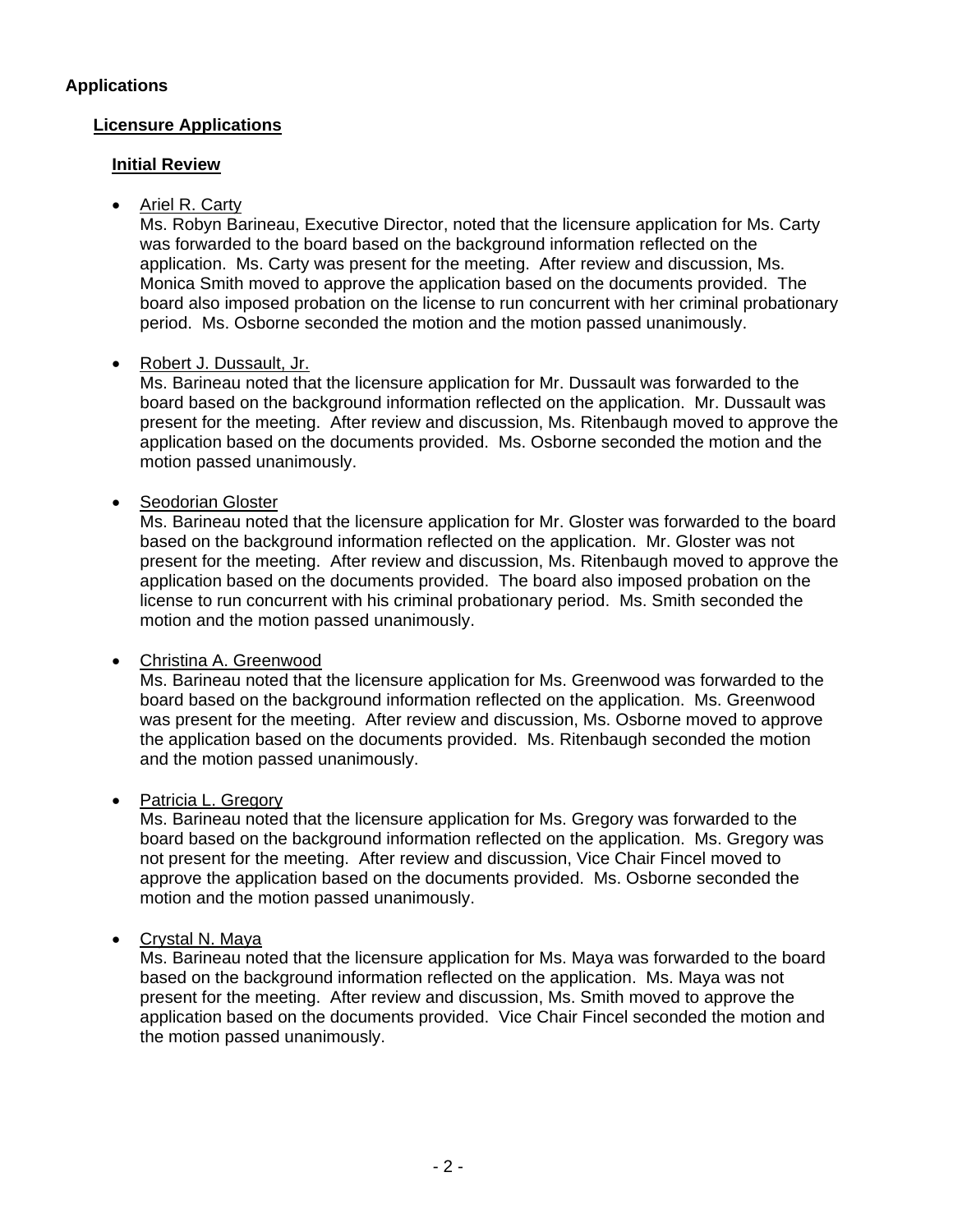# **Applications**

# **Licensure Applications**

## **Initial Review**

• Ariel R. Carty

Ms. Robyn Barineau, Executive Director, noted that the licensure application for Ms. Carty was forwarded to the board based on the background information reflected on the application. Ms. Carty was present for the meeting. After review and discussion, Ms. Monica Smith moved to approve the application based on the documents provided. The board also imposed probation on the license to run concurrent with her criminal probationary period. Ms. Osborne seconded the motion and the motion passed unanimously.

# • Robert J. Dussault, Jr.

Ms. Barineau noted that the licensure application for Mr. Dussault was forwarded to the board based on the background information reflected on the application. Mr. Dussault was present for the meeting. After review and discussion, Ms. Ritenbaugh moved to approve the application based on the documents provided. Ms. Osborne seconded the motion and the motion passed unanimously.

# • Seodorian Gloster

Ms. Barineau noted that the licensure application for Mr. Gloster was forwarded to the board based on the background information reflected on the application. Mr. Gloster was not present for the meeting. After review and discussion, Ms. Ritenbaugh moved to approve the application based on the documents provided. The board also imposed probation on the license to run concurrent with his criminal probationary period. Ms. Smith seconded the motion and the motion passed unanimously.

## • Christina A. Greenwood

Ms. Barineau noted that the licensure application for Ms. Greenwood was forwarded to the board based on the background information reflected on the application. Ms. Greenwood was present for the meeting. After review and discussion, Ms. Osborne moved to approve the application based on the documents provided. Ms. Ritenbaugh seconded the motion and the motion passed unanimously.

## • Patricia L. Gregory

Ms. Barineau noted that the licensure application for Ms. Gregory was forwarded to the board based on the background information reflected on the application. Ms. Gregory was not present for the meeting. After review and discussion, Vice Chair Fincel moved to approve the application based on the documents provided. Ms. Osborne seconded the motion and the motion passed unanimously.

## • Crystal N. Maya

Ms. Barineau noted that the licensure application for Ms. Maya was forwarded to the board based on the background information reflected on the application. Ms. Maya was not present for the meeting. After review and discussion, Ms. Smith moved to approve the application based on the documents provided. Vice Chair Fincel seconded the motion and the motion passed unanimously.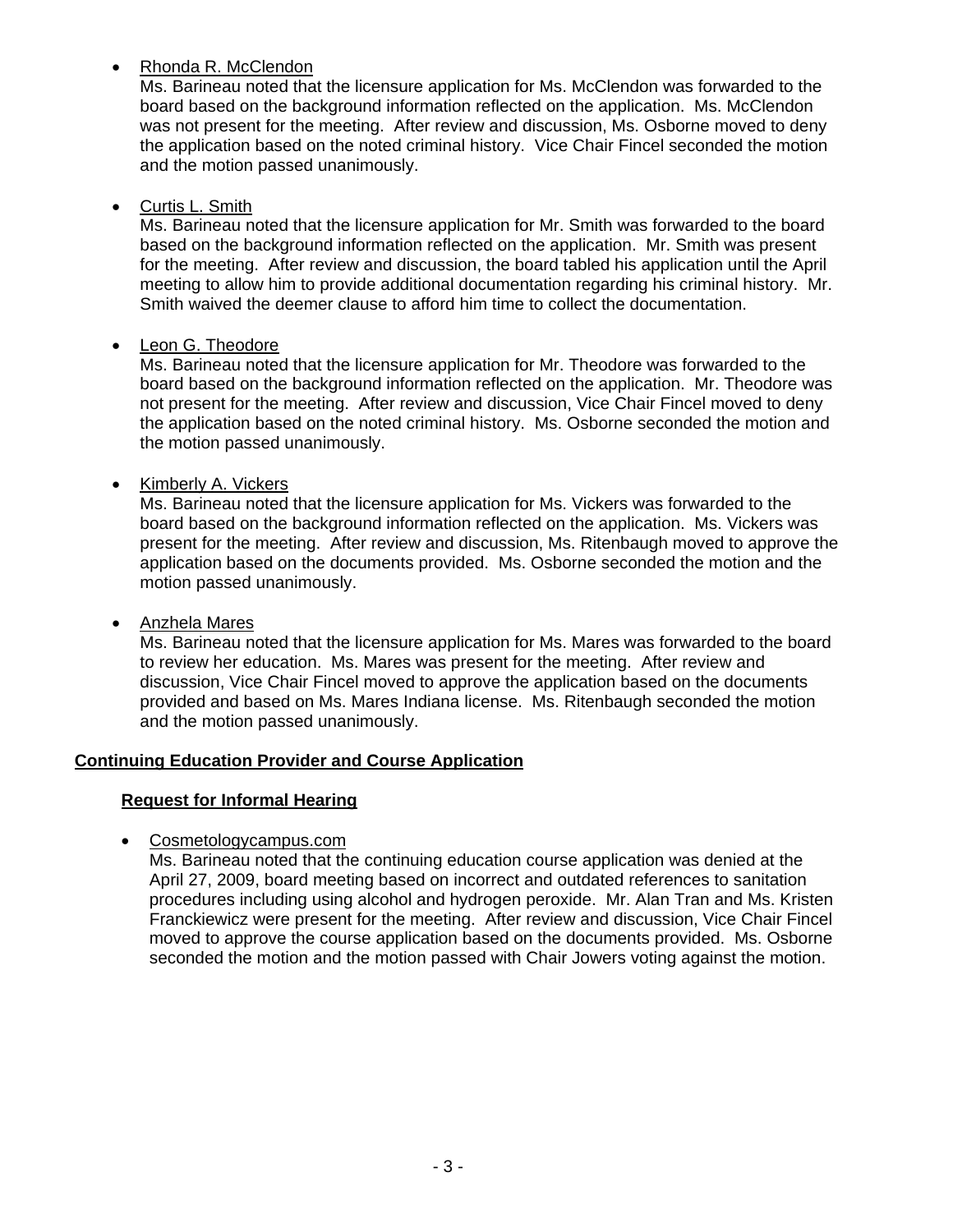# • Rhonda R. McClendon

Ms. Barineau noted that the licensure application for Ms. McClendon was forwarded to the board based on the background information reflected on the application. Ms. McClendon was not present for the meeting. After review and discussion, Ms. Osborne moved to deny the application based on the noted criminal history. Vice Chair Fincel seconded the motion and the motion passed unanimously.

# • Curtis L. Smith

Ms. Barineau noted that the licensure application for Mr. Smith was forwarded to the board based on the background information reflected on the application. Mr. Smith was present for the meeting. After review and discussion, the board tabled his application until the April meeting to allow him to provide additional documentation regarding his criminal history. Mr. Smith waived the deemer clause to afford him time to collect the documentation.

# • Leon G. Theodore

Ms. Barineau noted that the licensure application for Mr. Theodore was forwarded to the board based on the background information reflected on the application. Mr. Theodore was not present for the meeting. After review and discussion, Vice Chair Fincel moved to deny the application based on the noted criminal history. Ms. Osborne seconded the motion and the motion passed unanimously.

• Kimberly A. Vickers

Ms. Barineau noted that the licensure application for Ms. Vickers was forwarded to the board based on the background information reflected on the application. Ms. Vickers was present for the meeting. After review and discussion, Ms. Ritenbaugh moved to approve the application based on the documents provided. Ms. Osborne seconded the motion and the motion passed unanimously.

• Anzhela Mares

Ms. Barineau noted that the licensure application for Ms. Mares was forwarded to the board to review her education. Ms. Mares was present for the meeting. After review and discussion, Vice Chair Fincel moved to approve the application based on the documents provided and based on Ms. Mares Indiana license. Ms. Ritenbaugh seconded the motion and the motion passed unanimously.

# **Continuing Education Provider and Course Application**

# **Request for Informal Hearing**

• Cosmetologycampus.com

Ms. Barineau noted that the continuing education course application was denied at the April 27, 2009, board meeting based on incorrect and outdated references to sanitation procedures including using alcohol and hydrogen peroxide. Mr. Alan Tran and Ms. Kristen Franckiewicz were present for the meeting. After review and discussion, Vice Chair Fincel moved to approve the course application based on the documents provided. Ms. Osborne seconded the motion and the motion passed with Chair Jowers voting against the motion.